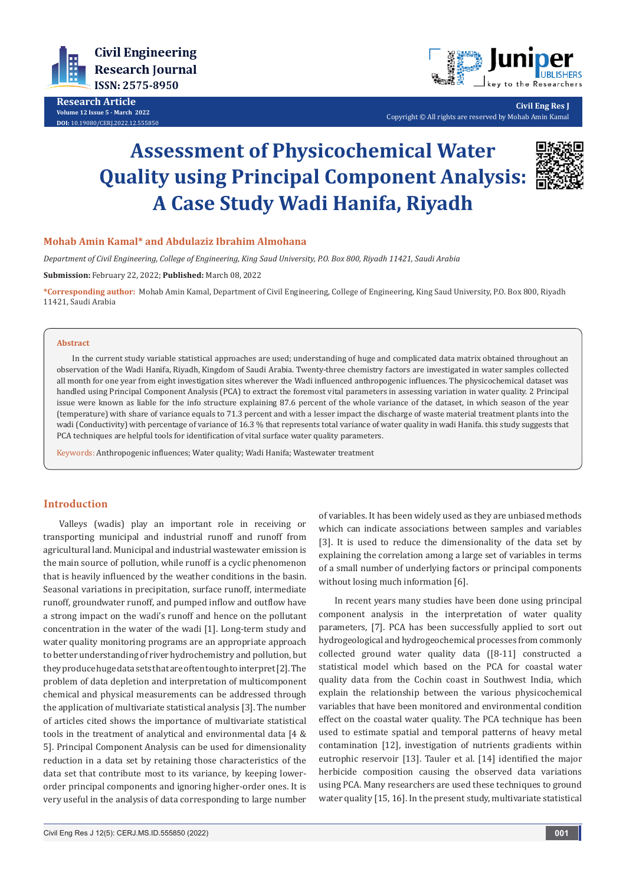

**Research Article Volume 12 Issue 5 - March 2022 DOI:** [10.19080/CERJ.2022.12.55585](http://dx.doi.org/10.19080/CERJ.2022.12.555850)0



**Civil Eng Res J** Copyright © All rights are reserved by Mohab Amin Kamal

# **Assessment of Physicochemical Water Quality using Principal Component Analysis: A Case Study Wadi Hanifa, Riyadh**



#### **Mohab Amin Kamal\* and Abdulaziz Ibrahim Almohana**

*Department of Civil Engineering, College of Engineering, King Saud University, P.O. Box 800, Riyadh 11421, Saudi Arabia*

**Submission:** February 22, 2022; **Published:** March 08, 2022

**\*Corresponding author:** Mohab Amin Kamal, Department of Civil Engineering, College of Engineering, King Saud University, P.O. Box 800, Riyadh 11421, Saudi Arabia

#### **Abstract**

In the current study variable statistical approaches are used; understanding of huge and complicated data matrix obtained throughout an observation of the Wadi Hanifa, Riyadh, Kingdom of Saudi Arabia. Twenty-three chemistry factors are investigated in water samples collected all month for one year from eight investigation sites wherever the Wadi influenced anthropogenic influences. The physicochemical dataset was handled using Principal Component Analysis (PCA) to extract the foremost vital parameters in assessing variation in water quality. 2 Principal issue were known as liable for the info structure explaining 87.6 percent of the whole variance of the dataset, in which season of the year (temperature) with share of variance equals to 71.3 percent and with a lesser impact the discharge of waste material treatment plants into the wadi (Conductivity) with percentage of variance of 16.3 % that represents total variance of water quality in wadi Hanifa. this study suggests that PCA techniques are helpful tools for identification of vital surface water quality parameters.

Keywords: Anthropogenic influences; Water quality; Wadi Hanifa; Wastewater treatment

### **Introduction**

Valleys (wadis) play an important role in receiving or transporting municipal and industrial runoff and runoff from agricultural land. Municipal and industrial wastewater emission is the main source of pollution, while runoff is a cyclic phenomenon that is heavily influenced by the weather conditions in the basin. Seasonal variations in precipitation, surface runoff, intermediate runoff, groundwater runoff, and pumped inflow and outflow have a strong impact on the wadi's runoff and hence on the pollutant concentration in the water of the wadi [1]. Long-term study and water quality monitoring programs are an appropriate approach to better understanding of river hydrochemistry and pollution, but they produce huge data sets that are often tough to interpret [2]. The problem of data depletion and interpretation of multicomponent chemical and physical measurements can be addressed through the application of multivariate statistical analysis [3]. The number of articles cited shows the importance of multivariate statistical tools in the treatment of analytical and environmental data [4 & 5]. Principal Component Analysis can be used for dimensionality reduction in a data set by retaining those characteristics of the data set that contribute most to its variance, by keeping lowerorder principal components and ignoring higher-order ones. It is very useful in the analysis of data corresponding to large number

Civil Eng Res J 12(5): CERJ.MS.ID.555850 (2022) **001**

of variables. It has been widely used as they are unbiased methods which can indicate associations between samples and variables [3]. It is used to reduce the dimensionality of the data set by explaining the correlation among a large set of variables in terms of a small number of underlying factors or principal components without losing much information [6].

In recent years many studies have been done using principal component analysis in the interpretation of water quality parameters, [7]. PCA has been successfully applied to sort out hydrogeological and hydrogeochemical processes from commonly collected ground water quality data ([8-11] constructed a statistical model which based on the PCA for coastal water quality data from the Cochin coast in Southwest India, which explain the relationship between the various physicochemical variables that have been monitored and environmental condition effect on the coastal water quality. The PCA technique has been used to estimate spatial and temporal patterns of heavy metal contamination [12], investigation of nutrients gradients within eutrophic reservoir [13]. Tauler et al. [14] identified the major herbicide composition causing the observed data variations using PCA. Many researchers are used these techniques to ground water quality [15, 16]. In the present study, multivariate statistical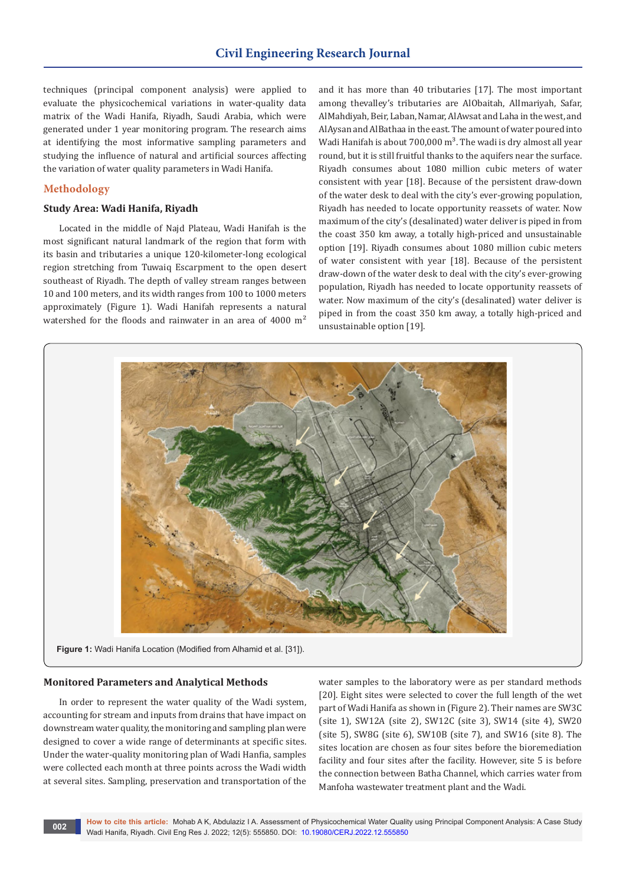techniques (principal component analysis) were applied to evaluate the physicochemical variations in water-quality data matrix of the Wadi Hanifa, Riyadh, Saudi Arabia, which were generated under 1 year monitoring program. The research aims at identifying the most informative sampling parameters and studying the influence of natural and artificial sources affecting the variation of water quality parameters in Wadi Hanifa.

# **Methodology**

#### **Study Area: Wadi Hanifa, Riyadh**

Located in the middle of Najd Plateau, Wadi Hanifah is the most significant natural landmark of the region that form with its basin and tributaries a unique 120-kilometer-long ecological region stretching from Tuwaiq Escarpment to the open desert southeast of Riyadh. The depth of valley stream ranges between 10 and 100 meters, and its width ranges from 100 to 1000 meters approximately (Figure 1). Wadi Hanifah represents a natural watershed for the floods and rainwater in an area of 4000 m<sup>2</sup>

and it has more than 40 tributaries [17]. The most important among thevalley's tributaries are AlObaitah, AlImariyah, Safar, AlMahdiyah, Beir, Laban, Namar, AlAwsat and Laha in the west, and AlAysan and AlBathaa in the east. The amount of water poured into Wadi Hanifah is about  $700,000 \text{ m}^3$ . The wadi is dry almost all year round, but it is still fruitful thanks to the aquifers near the surface. Riyadh consumes about 1080 million cubic meters of water consistent with year [18]. Because of the persistent draw-down of the water desk to deal with the city's ever-growing population, Riyadh has needed to locate opportunity reassets of water. Now maximum of the city's (desalinated) water deliver is piped in from the coast 350 km away, a totally high-priced and unsustainable option [19]. Riyadh consumes about 1080 million cubic meters of water consistent with year [18]. Because of the persistent draw-down of the water desk to deal with the city's ever-growing population, Riyadh has needed to locate opportunity reassets of water. Now maximum of the city's (desalinated) water deliver is piped in from the coast 350 km away, a totally high-priced and unsustainable option [19].



**Figure 1:** Wadi Hanifa Location (Modified from Alhamid et al. [31]).

#### **Monitored Parameters and Analytical Methods**

In order to represent the water quality of the Wadi system, accounting for stream and inputs from drains that have impact on downstream water quality, the monitoring and sampling plan were designed to cover a wide range of determinants at specific sites. Under the water-quality monitoring plan of Wadi Hanfia, samples were collected each month at three points across the Wadi width at several sites. Sampling, preservation and transportation of the water samples to the laboratory were as per standard methods [20]. Eight sites were selected to cover the full length of the wet part of Wadi Hanifa as shown in (Figure 2). Their names are SW3C (site 1), SW12A (site 2), SW12C (site 3), SW14 (site 4), SW20 (site 5), SW8G (site 6), SW10B (site 7), and SW16 (site 8). The sites location are chosen as four sites before the bioremediation facility and four sites after the facility. However, site 5 is before the connection between Batha Channel, which carries water from Manfoha wastewater treatment plant and the Wadi.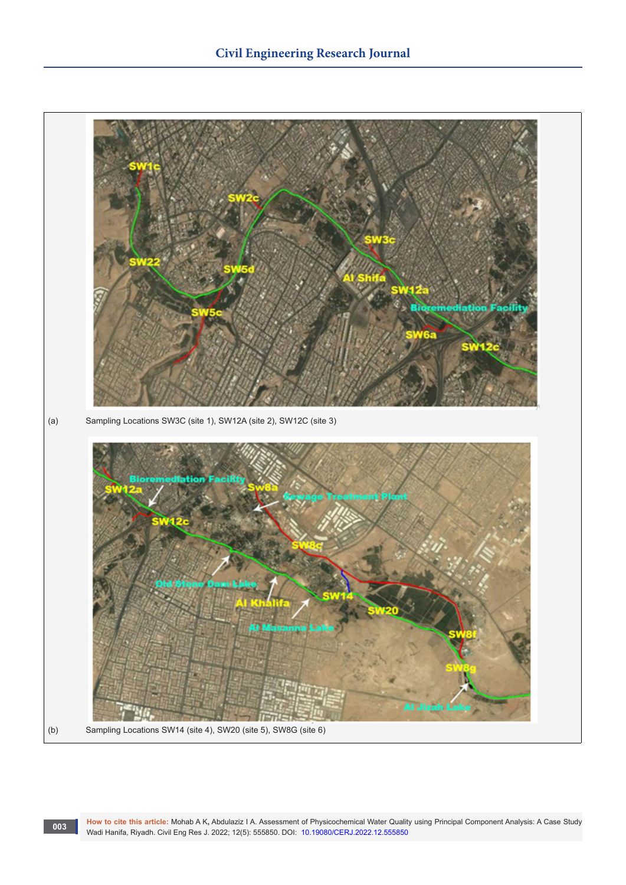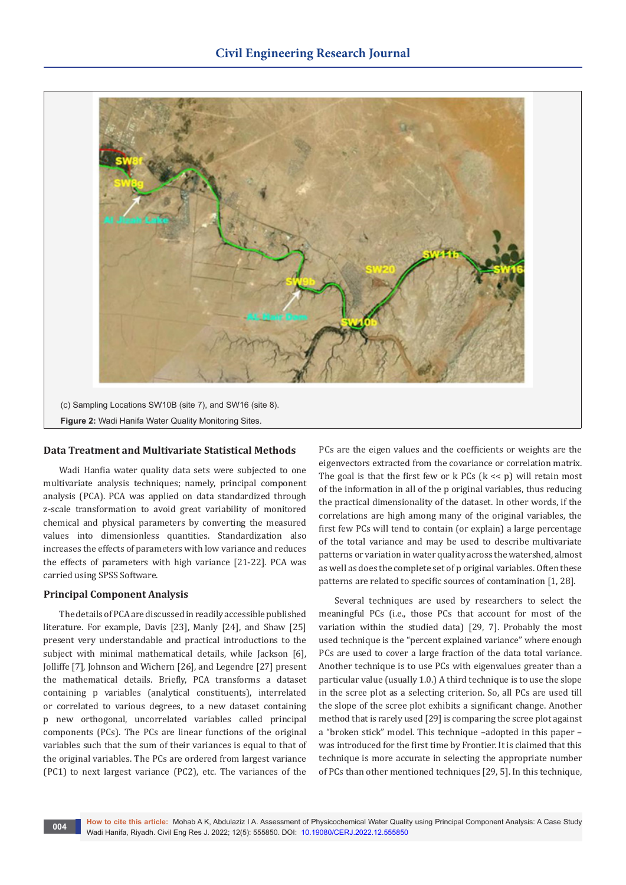

#### **Data Treatment and Multivariate Statistical Methods**

Wadi Hanfia water quality data sets were subjected to one multivariate analysis techniques; namely, principal component analysis (PCA). PCA was applied on data standardized through z-scale transformation to avoid great variability of monitored chemical and physical parameters by converting the measured values into dimensionless quantities. Standardization also increases the effects of parameters with low variance and reduces the effects of parameters with high variance [21-22]. PCA was carried using SPSS Software.

#### **Principal Component Analysis**

The details of PCA are discussed in readily accessible published literature. For example, Davis [23], Manly [24], and Shaw [25] present very understandable and practical introductions to the subject with minimal mathematical details, while Jackson [6], Jolliffe [7], Johnson and Wichern [26], and Legendre [27] present the mathematical details. Briefly, PCA transforms a dataset containing p variables (analytical constituents), interrelated or correlated to various degrees, to a new dataset containing p new orthogonal, uncorrelated variables called principal components (PCs). The PCs are linear functions of the original variables such that the sum of their variances is equal to that of the original variables. The PCs are ordered from largest variance (PC1) to next largest variance (PC2), etc. The variances of the

PCs are the eigen values and the coefficients or weights are the eigenvectors extracted from the covariance or correlation matrix. The goal is that the first few or  $k$  PCs  $(k \lt < p)$  will retain most of the information in all of the p original variables, thus reducing the practical dimensionality of the dataset. In other words, if the correlations are high among many of the original variables, the first few PCs will tend to contain (or explain) a large percentage of the total variance and may be used to describe multivariate patterns or variation in water quality across the watershed, almost as well as does the complete set of p original variables. Often these patterns are related to specific sources of contamination [1, 28].

Several techniques are used by researchers to select the meaningful PCs (i.e., those PCs that account for most of the variation within the studied data) [29, 7]. Probably the most used technique is the "percent explained variance" where enough PCs are used to cover a large fraction of the data total variance. Another technique is to use PCs with eigenvalues greater than a particular value (usually 1.0.) A third technique is to use the slope in the scree plot as a selecting criterion. So, all PCs are used till the slope of the scree plot exhibits a significant change. Another method that is rarely used [29] is comparing the scree plot against a "broken stick" model. This technique –adopted in this paper – was introduced for the first time by Frontier. It is claimed that this technique is more accurate in selecting the appropriate number of PCs than other mentioned techniques [29, 5]. In this technique,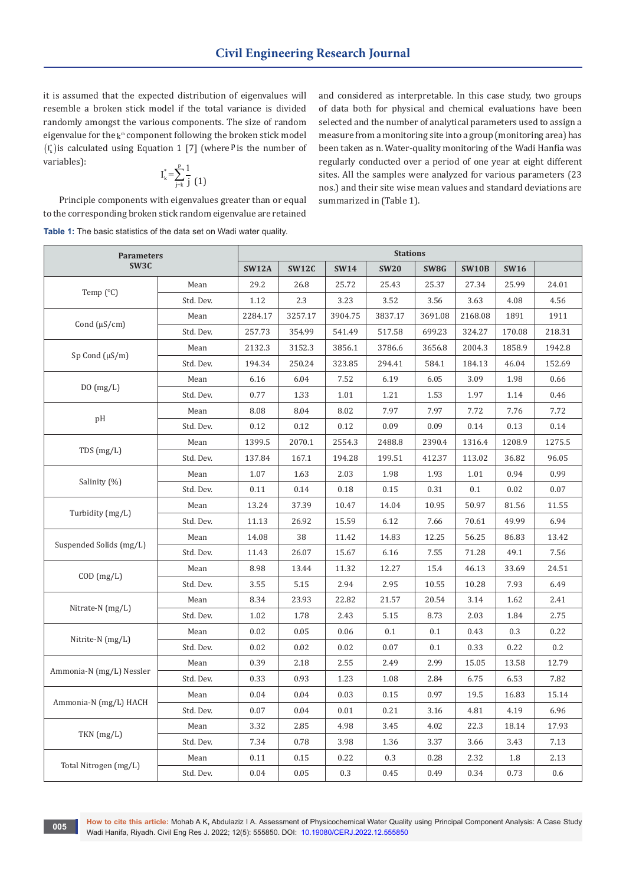it is assumed that the expected distribution of eigenvalues will resemble a broken stick model if the total variance is divided randomly amongst the various components. The size of random eigenvalue for the  $k^{\text{th}}$  component following the broken stick model  $(I_k^*)$  is calculated using Equation 1 [7] (where <sup>p</sup> is the number of variables):

$$
\mathrm{I}_{\mathrm{k}}^*\hspace{-1mm}=\hspace{-1mm}\sum_{\mathrm{j}=\mathrm{k}}^{\mathrm{p}}\hspace{-1mm}\frac{1}{\mathrm{j}}\hspace{-1mm}\left(\mathrm{1}\right)
$$

Principle components with eigenvalues greater than or equal to the corresponding broken stick random eigenvalue are retained **Table 1:** The basic statistics of the data set on Wadi water quality.

and considered as interpretable. In this case study, two groups of data both for physical and chemical evaluations have been selected and the number of analytical parameters used to assign a measure from a monitoring site into a group (monitoring area) has been taken as n. Water-quality monitoring of the Wadi Hanfia was regularly conducted over a period of one year at eight different sites. All the samples were analyzed for various parameters (23 nos.) and their site wise mean values and standard deviations are summarized in (Table 1).

| <b>Parameters</b><br>SW3C |           | <b>Stations</b> |              |             |             |         |              |             |        |
|---------------------------|-----------|-----------------|--------------|-------------|-------------|---------|--------------|-------------|--------|
|                           |           | <b>SW12A</b>    | <b>SW12C</b> | <b>SW14</b> | <b>SW20</b> | SW8G    | <b>SW10B</b> | <b>SW16</b> |        |
| Temp (°C)                 | Mean      | 29.2            | 26.8         | 25.72       | 25.43       | 25.37   | 27.34        | 25.99       | 24.01  |
|                           | Std. Dev. | 1.12            | 2.3          | 3.23        | 3.52        | 3.56    | 3.63         | 4.08        | 4.56   |
| Cond $(\mu S/cm)$         | Mean      | 2284.17         | 3257.17      | 3904.75     | 3837.17     | 3691.08 | 2168.08      | 1891        | 1911   |
|                           | Std. Dev. | 257.73          | 354.99       | 541.49      | 517.58      | 699.23  | 324.27       | 170.08      | 218.31 |
| $Sp$ Cond $(\mu S/m)$     | Mean      | 2132.3          | 3152.3       | 3856.1      | 3786.6      | 3656.8  | 2004.3       | 1858.9      | 1942.8 |
|                           | Std. Dev. | 194.34          | 250.24       | 323.85      | 294.41      | 584.1   | 184.13       | 46.04       | 152.69 |
|                           | Mean      | 6.16            | 6.04         | 7.52        | 6.19        | 6.05    | 3.09         | 1.98        | 0.66   |
| DO(mg/L)                  | Std. Dev. | 0.77            | 1.33         | 1.01        | 1.21        | 1.53    | 1.97         | 1.14        | 0.46   |
| pH                        | Mean      | 8.08            | 8.04         | 8.02        | 7.97        | 7.97    | 7.72         | 7.76        | 7.72   |
|                           | Std. Dev. | 0.12            | 0.12         | 0.12        | 0.09        | 0.09    | 0.14         | 0.13        | 0.14   |
| TDS(mg/L)                 | Mean      | 1399.5          | 2070.1       | 2554.3      | 2488.8      | 2390.4  | 1316.4       | 1208.9      | 1275.5 |
|                           | Std. Dev. | 137.84          | 167.1        | 194.28      | 199.51      | 412.37  | 113.02       | 36.82       | 96.05  |
|                           | Mean      | 1.07            | 1.63         | 2.03        | 1.98        | 1.93    | 1.01         | 0.94        | 0.99   |
| Salinity (%)              | Std. Dev. | 0.11            | 0.14         | 0.18        | 0.15        | 0.31    | 0.1          | 0.02        | 0.07   |
|                           | Mean      | 13.24           | 37.39        | 10.47       | 14.04       | 10.95   | 50.97        | 81.56       | 11.55  |
| Turbidity (mg/L)          | Std. Dev. | 11.13           | 26.92        | 15.59       | 6.12        | 7.66    | 70.61        | 49.99       | 6.94   |
|                           | Mean      | 14.08           | 38           | 11.42       | 14.83       | 12.25   | 56.25        | 86.83       | 13.42  |
| Suspended Solids (mg/L)   | Std. Dev. | 11.43           | 26.07        | 15.67       | 6.16        | 7.55    | 71.28        | 49.1        | 7.56   |
|                           | Mean      | 8.98            | 13.44        | 11.32       | 12.27       | 15.4    | 46.13        | 33.69       | 24.51  |
| $COD$ $(mg/L)$            | Std. Dev. | 3.55            | 5.15         | 2.94        | 2.95        | 10.55   | 10.28        | 7.93        | 6.49   |
|                           | Mean      | 8.34            | 23.93        | 22.82       | 21.57       | 20.54   | 3.14         | 1.62        | 2.41   |
| Nitrate-N $(mg/L)$        | Std. Dev. | 1.02            | 1.78         | 2.43        | 5.15        | 8.73    | 2.03         | 1.84        | 2.75   |
|                           | Mean      | 0.02            | 0.05         | 0.06        | 0.1         | 0.1     | 0.43         | 0.3         | 0.22   |
| Nitrite-N (mg/L)          | Std. Dev. | 0.02            | 0.02         | 0.02        | 0.07        | 0.1     | 0.33         | 0.22        | 0.2    |
|                           | Mean      | 0.39            | 2.18         | 2.55        | 2.49        | 2.99    | 15.05        | 13.58       | 12.79  |
| Ammonia-N (mg/L) Nessler  | Std. Dev. | 0.33            | 0.93         | 1.23        | 1.08        | 2.84    | 6.75         | 6.53        | 7.82   |
| Ammonia-N (mg/L) HACH     | Mean      | 0.04            | 0.04         | 0.03        | 0.15        | 0.97    | 19.5         | 16.83       | 15.14  |
|                           | Std. Dev. | 0.07            | 0.04         | 0.01        | 0.21        | 3.16    | 4.81         | 4.19        | 6.96   |
| TKN (mg/L)                | Mean      | 3.32            | 2.85         | 4.98        | 3.45        | 4.02    | 22.3         | 18.14       | 17.93  |
|                           | Std. Dev. | 7.34            | 0.78         | 3.98        | 1.36        | 3.37    | 3.66         | 3.43        | 7.13   |
|                           | Mean      | 0.11            | 0.15         | 0.22        | 0.3         | 0.28    | 2.32         | 1.8         | 2.13   |
| Total Nitrogen (mg/L)     | Std. Dev. | 0.04            | 0.05         | 0.3         | 0.45        | 0.49    | 0.34         | 0.73        | 0.6    |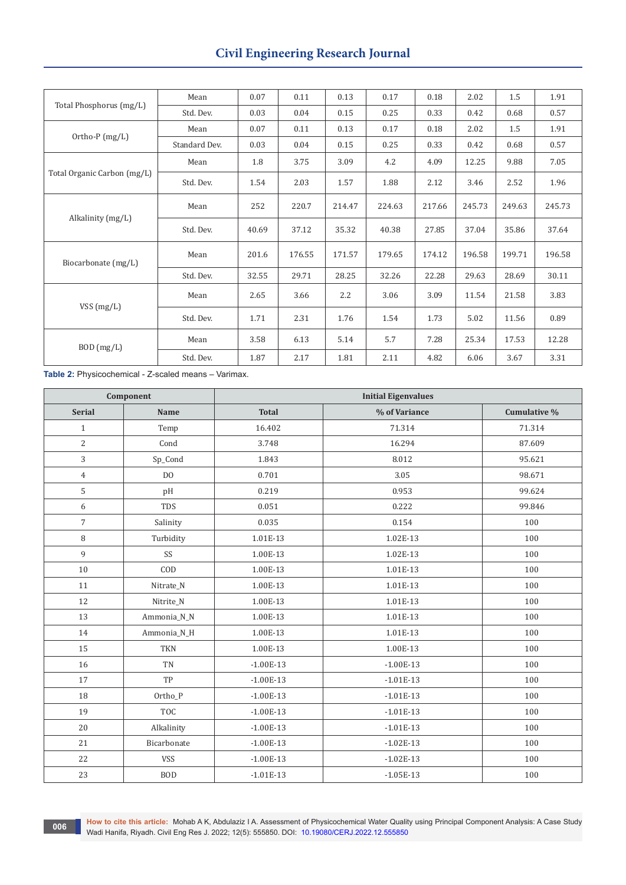# **Civil Engineering Research Journal**

| Total Phosphorus (mg/L)     | Mean          | 0.07  | 0.11   | 0.13   | 0.17   | 0.18   | 2.02   | 1.5    | 1.91   |
|-----------------------------|---------------|-------|--------|--------|--------|--------|--------|--------|--------|
|                             | Std. Dev.     | 0.03  | 0.04   | 0.15   | 0.25   | 0.33   | 0.42   | 0.68   | 0.57   |
| Ortho-P (mg/L)              | Mean          | 0.07  | 0.11   | 0.13   | 0.17   | 0.18   | 2.02   | 1.5    | 1.91   |
|                             | Standard Dev. | 0.03  | 0.04   | 0.15   | 0.25   | 0.33   | 0.42   | 0.68   | 0.57   |
| Total Organic Carbon (mg/L) | Mean          | 1.8   | 3.75   | 3.09   | 4.2    | 4.09   | 12.25  | 9.88   | 7.05   |
|                             | Std. Dev.     | 1.54  | 2.03   | 1.57   | 1.88   | 2.12   | 3.46   | 2.52   | 1.96   |
| Alkalinity (mg/L)           | Mean          | 252   | 220.7  | 214.47 | 224.63 | 217.66 | 245.73 | 249.63 | 245.73 |
|                             | Std. Dev.     | 40.69 | 37.12  | 35.32  | 40.38  | 27.85  | 37.04  | 35.86  | 37.64  |
| Biocarbonate (mg/L)         | Mean          | 201.6 | 176.55 | 171.57 | 179.65 | 174.12 | 196.58 | 199.71 | 196.58 |
|                             | Std. Dev.     | 32.55 | 29.71  | 28.25  | 32.26  | 22.28  | 29.63  | 28.69  | 30.11  |
| VSS (mg/L)                  | Mean          | 2.65  | 3.66   | 2.2    | 3.06   | 3.09   | 11.54  | 21.58  | 3.83   |
|                             | Std. Dev.     | 1.71  | 2.31   | 1.76   | 1.54   | 1.73   | 5.02   | 11.56  | 0.89   |
| BOD (mg/L)                  | Mean          | 3.58  | 6.13   | 5.14   | 5.7    | 7.28   | 25.34  | 17.53  | 12.28  |
|                             | Std. Dev.     | 1.87  | 2.17   | 1.81   | 2.11   | 4.82   | 6.06   | 3.67   | 3.31   |

**Table 2:** Physicochemical - Z-scaled means – Varimax.

| Component      |                | <b>Initial Eigenvalues</b>    |             |              |  |  |  |  |
|----------------|----------------|-------------------------------|-------------|--------------|--|--|--|--|
| <b>Serial</b>  | <b>Name</b>    | % of Variance<br><b>Total</b> |             | Cumulative % |  |  |  |  |
| $\mathbf{1}$   | Temp           | 16.402                        | 71.314      | 71.314       |  |  |  |  |
| $\overline{2}$ | Cond           | 3.748                         | 16.294      | 87.609       |  |  |  |  |
| 3              | Sp_Cond        | 1.843                         | 8.012       | 95.621       |  |  |  |  |
| $\overline{4}$ | D <sub>O</sub> | 0.701                         | 3.05        | 98.671       |  |  |  |  |
| 5              | pH             | 0.219                         | 0.953       | 99.624       |  |  |  |  |
| 6              | <b>TDS</b>     | 0.051                         | 0.222       | 99.846       |  |  |  |  |
| $\overline{7}$ | Salinity       | 0.035                         | 0.154       | 100          |  |  |  |  |
| 8              | Turbidity      | 1.01E-13                      | 1.02E-13    | 100          |  |  |  |  |
| 9              | SS             | 1.00E-13                      | 1.02E-13    | 100          |  |  |  |  |
| 10             | COD            | 1.00E-13                      | 1.01E-13    | 100          |  |  |  |  |
| 11             | Nitrate_N      | 1.00E-13                      | 1.01E-13    | 100          |  |  |  |  |
| 12             | Nitrite_N      | 1.00E-13                      | 1.01E-13    | 100          |  |  |  |  |
| 13             | Ammonia_N_N    | 1.00E-13                      | 1.01E-13    | 100          |  |  |  |  |
| $14\,$         | Ammonia_N_H    | 1.00E-13                      | 1.01E-13    | 100          |  |  |  |  |
| 15             | <b>TKN</b>     | 1.00E-13                      | 1.00E-13    | 100          |  |  |  |  |
| 16             | <b>TN</b>      | $-1.00E-13$                   | $-1.00E-13$ | 100          |  |  |  |  |
| 17             | TP             | $-1.00E-13$                   | $-1.01E-13$ | 100          |  |  |  |  |
| 18             | Ortho_P        | $-1.00E-13$                   | $-1.01E-13$ | 100          |  |  |  |  |
| 19             | <b>TOC</b>     | $-1.00E-13$                   | $-1.01E-13$ | 100          |  |  |  |  |
| 20             | Alkalinity     | $-1.00E-13$                   | $-1.01E-13$ | 100          |  |  |  |  |
| 21             | Bicarbonate    | $-1.00E-13$                   | $-1.02E-13$ | 100          |  |  |  |  |
| 22             | <b>VSS</b>     | $-1.00E-13$                   | $-1.02E-13$ | 100          |  |  |  |  |
| 23             | <b>BOD</b>     | $-1.01E-13$                   | $-1.05E-13$ | 100          |  |  |  |  |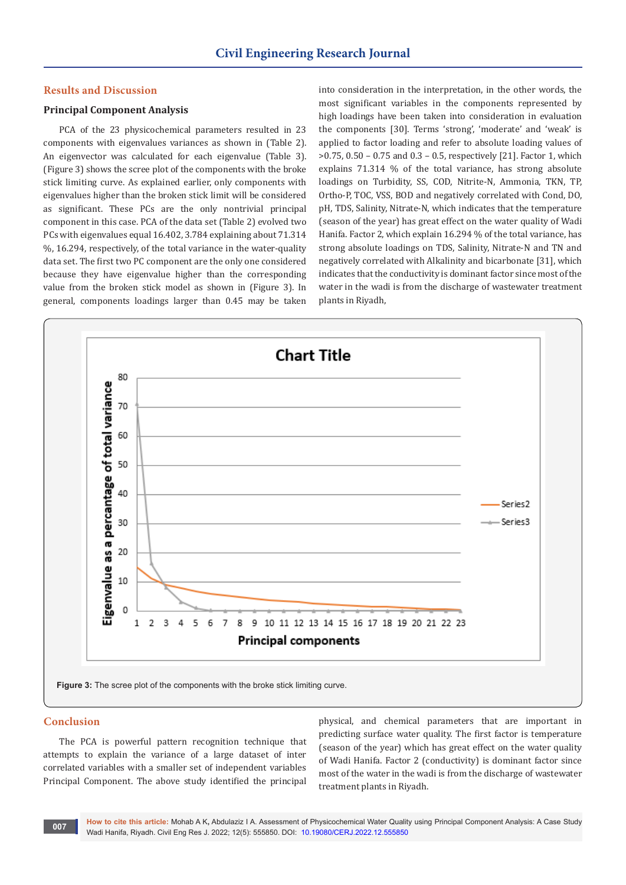#### **Results and Discussion**

# **Principal Component Analysis**

PCA of the 23 physicochemical parameters resulted in 23 components with eigenvalues variances as shown in (Table 2). An eigenvector was calculated for each eigenvalue (Table 3). (Figure 3) shows the scree plot of the components with the broke stick limiting curve. As explained earlier, only components with eigenvalues higher than the broken stick limit will be considered as significant. These PCs are the only nontrivial principal component in this case. PCA of the data set (Table 2) evolved two PCs with eigenvalues equal 16.402, 3.784 explaining about 71.314 %, 16.294, respectively, of the total variance in the water-quality data set. The first two PC component are the only one considered because they have eigenvalue higher than the corresponding value from the broken stick model as shown in (Figure 3). In general, components loadings larger than 0.45 may be taken

into consideration in the interpretation, in the other words, the most significant variables in the components represented by high loadings have been taken into consideration in evaluation the components [30]. Terms 'strong', 'moderate' and 'weak' is applied to factor loading and refer to absolute loading values of >0.75, 0.50 – 0.75 and 0.3 – 0.5, respectively [21]. Factor 1, which explains 71.314 % of the total variance, has strong absolute loadings on Turbidity, SS, COD, Nitrite-N, Ammonia, TKN, TP, Ortho-P, TOC, VSS, BOD and negatively correlated with Cond, DO, pH, TDS, Salinity, Nitrate-N, which indicates that the temperature (season of the year) has great effect on the water quality of Wadi Hanifa. Factor 2, which explain 16.294 % of the total variance, has strong absolute loadings on TDS, Salinity, Nitrate-N and TN and negatively correlated with Alkalinity and bicarbonate [31], which indicates that the conductivity is dominant factor since most of the water in the wadi is from the discharge of wastewater treatment plants in Riyadh,



#### **Conclusion**

The PCA is powerful pattern recognition technique that attempts to explain the variance of a large dataset of inter correlated variables with a smaller set of independent variables Principal Component. The above study identified the principal

physical, and chemical parameters that are important in predicting surface water quality. The first factor is temperature (season of the year) which has great effect on the water quality of Wadi Hanifa. Factor 2 (conductivity) is dominant factor since most of the water in the wadi is from the discharge of wastewater treatment plants in Riyadh.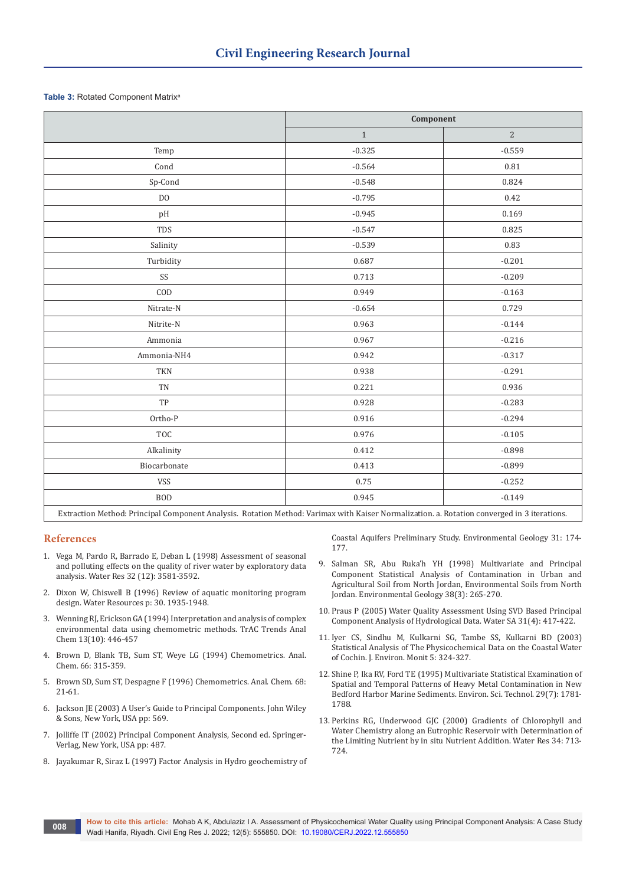#### **Table 3: Rotated Component Matrix<sup>a</sup>**

|                                                              | Component |                |  |  |  |
|--------------------------------------------------------------|-----------|----------------|--|--|--|
|                                                              | $1\,$     | $\overline{2}$ |  |  |  |
| Temp                                                         | $-0.325$  | $-0.559$       |  |  |  |
| Cond                                                         | $-0.564$  | 0.81           |  |  |  |
| Sp-Cond                                                      | $-0.548$  | 0.824          |  |  |  |
| D <sub>O</sub>                                               | $-0.795$  | 0.42           |  |  |  |
| pH                                                           | $-0.945$  | 0.169          |  |  |  |
| TDS                                                          | $-0.547$  | 0.825          |  |  |  |
| Salinity                                                     | $-0.539$  | 0.83           |  |  |  |
| Turbidity                                                    | 0.687     | $-0.201$       |  |  |  |
| SS                                                           | 0.713     | $-0.209$       |  |  |  |
| COD                                                          | 0.949     | $-0.163$       |  |  |  |
| Nitrate-N                                                    | $-0.654$  | 0.729          |  |  |  |
| Nitrite-N                                                    | 0.963     | $-0.144$       |  |  |  |
| Ammonia                                                      | 0.967     | $-0.216$       |  |  |  |
| Ammonia-NH4                                                  | 0.942     | $-0.317$       |  |  |  |
| <b>TKN</b>                                                   | 0.938     | $-0.291$       |  |  |  |
| TN                                                           | 0.221     | 0.936          |  |  |  |
| TP                                                           | 0.928     | $-0.283$       |  |  |  |
| Ortho-P                                                      | 0.916     | $-0.294$       |  |  |  |
| TOC                                                          | 0.976     | $-0.105$       |  |  |  |
| Alkalinity                                                   | 0.412     | $-0.898$       |  |  |  |
| Biocarbonate                                                 | 0.413     | $-0.899$       |  |  |  |
| <b>VSS</b>                                                   | 0.75      | $-0.252$       |  |  |  |
| <b>BOD</b>                                                   | 0.945     | $-0.149$       |  |  |  |
| <b>Address Address Address</b><br><br>$\sim$<br>$\mathbf{r}$ |           |                |  |  |  |

Extraction Method: Principal Component Analysis. Rotation Method: Varimax with Kaiser Normalization. a. Rotation converged in 3 iterations.

# **References**

- 1. [Vega M, Pardo R, Barrado E, Deban L \(1998\) Assessment of seasonal](https://www.sciencedirect.com/science/article/abs/pii/S0043135498001389)  [and polluting effects on the quality of river water by exploratory data](https://www.sciencedirect.com/science/article/abs/pii/S0043135498001389)  [analysis. Water Res 32 \(12\): 3581-3592.](https://www.sciencedirect.com/science/article/abs/pii/S0043135498001389)
- 2. Dixon W, Chiswell B (1996) Review of aquatic monitoring program design. Water Resources p: 30. 1935-1948.
- 3. [Wenning RJ, Erickson GA \(1994\) Interpretation and analysis of complex](https://www.sciencedirect.com/science/article/abs/pii/0165993694850267)  [environmental data using chemometric methods. TrAC Trends Anal](https://www.sciencedirect.com/science/article/abs/pii/0165993694850267)  [Chem 13\(10\): 446-457](https://www.sciencedirect.com/science/article/abs/pii/0165993694850267)
- 4. Brown D, Blank TB, Sum ST, Weye LG (1994) Chemometrics. Anal. Chem. 66: 315-359.
- 5. Brown SD, Sum ST, Despagne F (1996) Chemometrics. Anal. Chem. 68: 21-61.
- 6. Jackson JE (2003) A User's Guide to Principal Components. John Wiley & Sons, New York, USA pp: 569.
- 7. Jolliffe IT (2002) Principal Component Analysis, Second ed. Springer-Verlag, New York, USA pp: 487.
- 8. [Jayakumar R, Siraz L \(1997\) Factor Analysis in Hydro geochemistry of](https://link.springer.com/article/10.1007/s002540050177)

[Coastal Aquifers Preliminary Study. Environmental Geology 31: 174-](https://link.springer.com/article/10.1007/s002540050177) [177.](https://link.springer.com/article/10.1007/s002540050177)

- 9. Salman SR, Abu Ruka'h YH (1998) Multivariate and Principal Component Statistical Analysis of Contamination in Urban and Agricultural Soil from North Jordan, Environmental Soils from North Jordan. Environmental Geology 38(3): 265-270.
- 10. Praus P (2005) Water Quality Assessment Using SVD Based Principal Component Analysis of Hydrological Data. Water SA 31(4): 417-422.
- 11. Iyer CS, Sindhu M, Kulkarni SG, Tambe SS, Kulkarni BD (2003) Statistical Analysis of The Physicochemical Data on the Coastal Water of Cochin. J. Environ. Monit 5: 324-327.
- 12. [Shine P, Ika RV, Ford TE \(1995\) Multivariate Statistical Examination of](https://pubmed.ncbi.nlm.nih.gov/22176450/)  [Spatial and Temporal Patterns of Heavy Metal Contamination in New](https://pubmed.ncbi.nlm.nih.gov/22176450/)  [Bedford Harbor Marine Sediments. Environ. Sci. Technol. 29\(7\): 1781-](https://pubmed.ncbi.nlm.nih.gov/22176450/) [1788.](https://pubmed.ncbi.nlm.nih.gov/22176450/)
- 13. Perkins RG, Underwood GJC (2000) Gradients of Chlorophyll and Water Chemistry along an Eutrophic Reservoir with Determination of the Limiting Nutrient by in situ Nutrient Addition. Water Res 34: 713- 724.